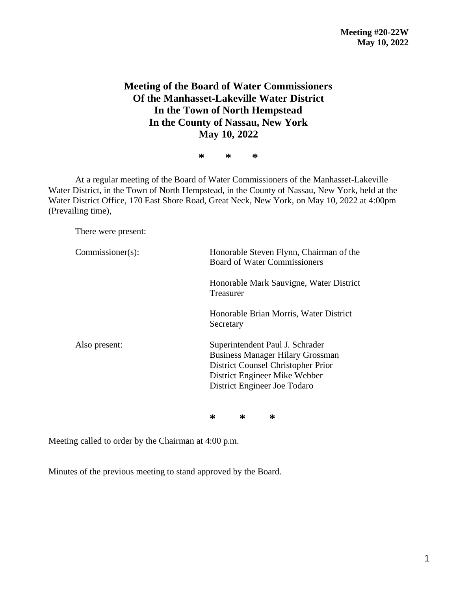## **Meeting of the Board of Water Commissioners Of the Manhasset-Lakeville Water District In the Town of North Hempstead In the County of Nassau, New York May 10, 2022**

**\* \* \***

At a regular meeting of the Board of Water Commissioners of the Manhasset-Lakeville Water District, in the Town of North Hempstead, in the County of Nassau, New York, held at the Water District Office, 170 East Shore Road, Great Neck, New York, on May 10, 2022 at 4:00pm (Prevailing time),

There were present:

| $Commissioner(s)$ : | Honorable Steven Flynn, Chairman of the<br><b>Board of Water Commissioners</b>                                                                                                    |  |  |
|---------------------|-----------------------------------------------------------------------------------------------------------------------------------------------------------------------------------|--|--|
|                     | Honorable Mark Sauvigne, Water District<br>Treasurer                                                                                                                              |  |  |
|                     | Honorable Brian Morris, Water District<br>Secretary                                                                                                                               |  |  |
| Also present:       | Superintendent Paul J. Schrader<br><b>Business Manager Hilary Grossman</b><br>District Counsel Christopher Prior<br>District Engineer Mike Webber<br>District Engineer Joe Todaro |  |  |

**\* \* \***

Meeting called to order by the Chairman at 4:00 p.m.

Minutes of the previous meeting to stand approved by the Board.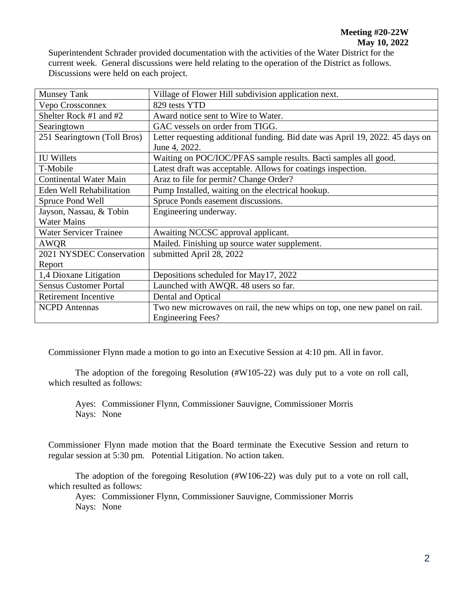Superintendent Schrader provided documentation with the activities of the Water District for the current week. General discussions were held relating to the operation of the District as follows. Discussions were held on each project.

| <b>Munsey Tank</b>              | Village of Flower Hill subdivision application next.                          |  |  |
|---------------------------------|-------------------------------------------------------------------------------|--|--|
| Vepo Crossconnex                | 829 tests YTD                                                                 |  |  |
| Shelter Rock #1 and #2          | Award notice sent to Wire to Water.                                           |  |  |
| Searingtown                     | GAC vessels on order from TIGG.                                               |  |  |
| 251 Searingtown (Toll Bros)     | Letter requesting additional funding. Bid date was April 19, 2022. 45 days on |  |  |
|                                 | June 4, 2022.                                                                 |  |  |
| <b>IU Willets</b>               | Waiting on POC/IOC/PFAS sample results. Bacti samples all good.               |  |  |
| T-Mobile                        | Latest draft was acceptable. Allows for coatings inspection.                  |  |  |
| <b>Continental Water Main</b>   | Araz to file for permit? Change Order?                                        |  |  |
| <b>Eden Well Rehabilitation</b> | Pump Installed, waiting on the electrical hookup.                             |  |  |
| Spruce Pond Well                | Spruce Ponds easement discussions.                                            |  |  |
| Jayson, Nassau, & Tobin         | Engineering underway.                                                         |  |  |
| <b>Water Mains</b>              |                                                                               |  |  |
| <b>Water Servicer Trainee</b>   | Awaiting NCCSC approval applicant.                                            |  |  |
| <b>AWQR</b>                     | Mailed. Finishing up source water supplement.                                 |  |  |
| 2021 NYSDEC Conservation        | submitted April 28, 2022                                                      |  |  |
| Report                          |                                                                               |  |  |
| 1,4 Dioxane Litigation          | Depositions scheduled for May17, 2022                                         |  |  |
| <b>Sensus Customer Portal</b>   | Launched with AWQR. 48 users so far.                                          |  |  |
| Retirement Incentive            | Dental and Optical                                                            |  |  |
| <b>NCPD</b> Antennas            | Two new microwaves on rail, the new whips on top, one new panel on rail.      |  |  |
|                                 | <b>Engineering Fees?</b>                                                      |  |  |

Commissioner Flynn made a motion to go into an Executive Session at 4:10 pm. All in favor.

The adoption of the foregoing Resolution (#W105-22) was duly put to a vote on roll call, which resulted as follows:

Ayes: Commissioner Flynn, Commissioner Sauvigne, Commissioner Morris Nays: None

Commissioner Flynn made motion that the Board terminate the Executive Session and return to regular session at 5:30 pm. Potential Litigation. No action taken.

The adoption of the foregoing Resolution (#W106-22) was duly put to a vote on roll call, which resulted as follows:

Ayes: Commissioner Flynn, Commissioner Sauvigne, Commissioner Morris Nays: None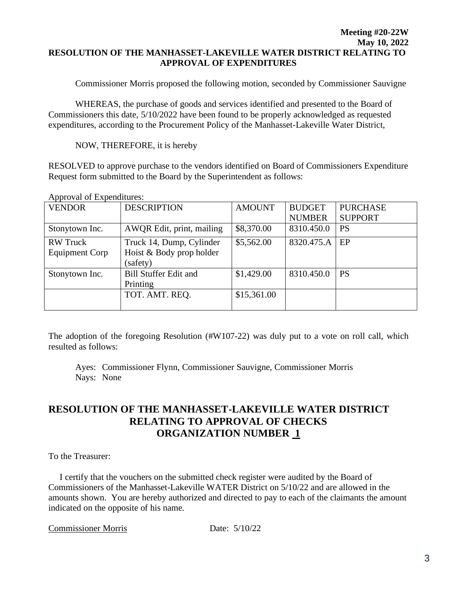## **Meeting #20-22W May 10, 2022 RESOLUTION OF THE MANHASSET-LAKEVILLE WATER DISTRICT RELATING TO APPROVAL OF EXPENDITURES**

Commissioner Morris proposed the following motion, seconded by Commissioner Sauvigne

WHEREAS, the purchase of goods and services identified and presented to the Board of Commissioners this date, 5/10/2022 have been found to be properly acknowledged as requested expenditures, according to the Procurement Policy of the Manhasset-Lakeville Water District,

NOW, THEREFORE, it is hereby

RESOLVED to approve purchase to the vendors identified on Board of Commissioners Expenditure Request form submitted to the Board by the Superintendent as follows:

| <b>VENDOR</b>                            | <b>DESCRIPTION</b>                                               | <b>AMOUNT</b> | <b>BUDGET</b><br><b>NUMBER</b> | <b>PURCHASE</b><br><b>SUPPORT</b> |
|------------------------------------------|------------------------------------------------------------------|---------------|--------------------------------|-----------------------------------|
| Stonytown Inc.                           | AWQR Edit, print, mailing                                        | \$8,370.00    | 8310.450.0                     | <b>PS</b>                         |
| <b>RW</b> Truck<br><b>Equipment Corp</b> | Truck 14, Dump, Cylinder<br>Hoist & Body prop holder<br>(safety) | \$5,562.00    | 8320.475.A                     | EP                                |
| Stonytown Inc.                           | <b>Bill Stuffer Edit and</b><br>Printing                         | \$1,429.00    | 8310.450.0                     | <b>PS</b>                         |
|                                          | TOT. AMT. REO.                                                   | \$15,361.00   |                                |                                   |

Approval of Expenditures:

The adoption of the foregoing Resolution (#W107-22) was duly put to a vote on roll call, which resulted as follows:

Ayes: Commissioner Flynn, Commissioner Sauvigne, Commissioner Morris Nays: None

## **RESOLUTION OF THE MANHASSET-LAKEVILLE WATER DISTRICT RELATING TO APPROVAL OF CHECKS ORGANIZATION NUMBER 1**

To the Treasurer:

 I certify that the vouchers on the submitted check register were audited by the Board of Commissioners of the Manhasset-Lakeville WATER District on 5/10/22 and are allowed in the amounts shown. You are hereby authorized and directed to pay to each of the claimants the amount indicated on the opposite of his name.

Commissioner Morris Date: 5/10/22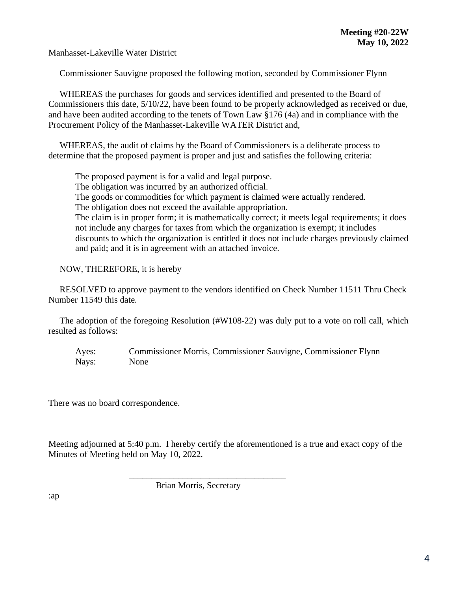Manhasset-Lakeville Water District

Commissioner Sauvigne proposed the following motion, seconded by Commissioner Flynn

 WHEREAS the purchases for goods and services identified and presented to the Board of Commissioners this date, 5/10/22, have been found to be properly acknowledged as received or due, and have been audited according to the tenets of Town Law §176 (4a) and in compliance with the Procurement Policy of the Manhasset-Lakeville WATER District and,

 WHEREAS, the audit of claims by the Board of Commissioners is a deliberate process to determine that the proposed payment is proper and just and satisfies the following criteria:

The proposed payment is for a valid and legal purpose.

The obligation was incurred by an authorized official.

The goods or commodities for which payment is claimed were actually rendered.

The obligation does not exceed the available appropriation.

The claim is in proper form; it is mathematically correct; it meets legal requirements; it does not include any charges for taxes from which the organization is exempt; it includes discounts to which the organization is entitled it does not include charges previously claimed and paid; and it is in agreement with an attached invoice.

NOW, THEREFORE, it is hereby

 RESOLVED to approve payment to the vendors identified on Check Number 11511 Thru Check Number 11549 this date.

 The adoption of the foregoing Resolution (#W108-22) was duly put to a vote on roll call, which resulted as follows:

Ayes: Commissioner Morris, Commissioner Sauvigne, Commissioner Flynn Nays: None

There was no board correspondence.

Meeting adjourned at 5:40 p.m. I hereby certify the aforementioned is a true and exact copy of the Minutes of Meeting held on May 10, 2022.

Brian Morris, Secretary

\_\_\_\_\_\_\_\_\_\_\_\_\_\_\_\_\_\_\_\_\_\_\_\_\_\_\_\_\_\_\_\_\_\_\_

:ap